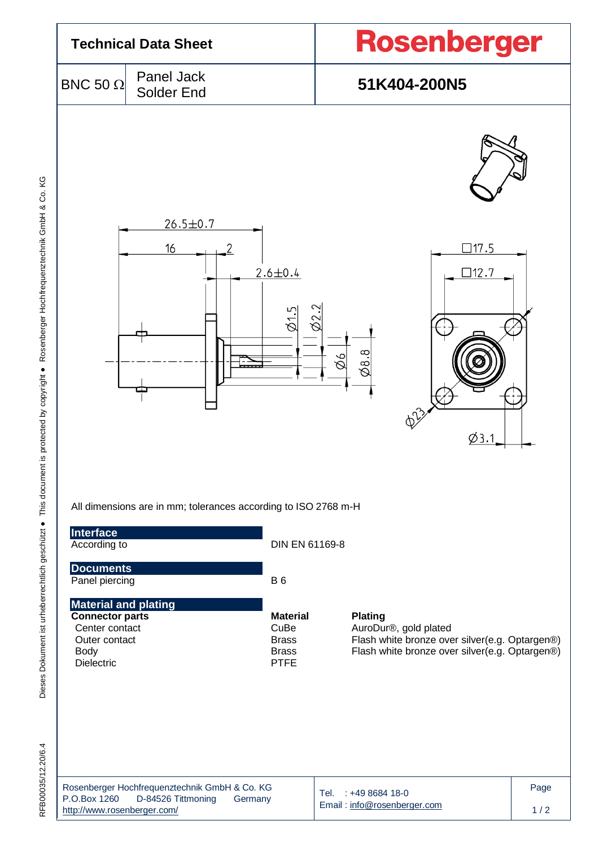